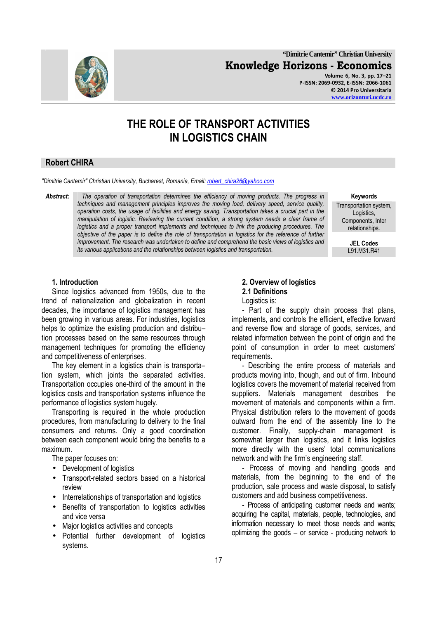**"Dimitrie Cantemir" Christian University Knowledge Horizons - Economics Volume 6, No. 3, pp. 17–21 P-ISSN: 2069-0932, E-ISSN: 2066-1061 © 2014 Pro Universitaria** 

**www.orizonturi.ucdc.ro**

# **THE ROLE OF TRANSPORT ACTIVITIES IN LOGISTICS CHAIN**

### **Robert CHIRA**

*"Dimitrie Cantemir" Christian University, Bucharest, Romania, Email: robert\_chira26@yahoo.com*

*Abstract: The operation of transportation determines the efficiency of moving products. The progress in techniques and management principles improves the moving load, delivery speed, service quality, operation costs, the usage of facilities and energy saving. Transportation takes a crucial part in the manipulation of logistic. Reviewing the current condition, a strong system needs a clear frame of logistics and a proper transport implements and techniques to link the producing procedures. The objective of the paper is to define the role of transportation in logistics for the reference of further improvement. The research was undertaken to define and comprehend the basic views of logistics and its various applications and the relationships between logistics and transportation.* 

**Keywords** 

Transportation system, Logistics, Components, Inter relationships.

> **JEL Codes** L91.M31.R41

#### **1. Introduction**

Since logistics advanced from 1950s, due to the trend of nationalization and globalization in recent decades, the importance of logistics management has been growing in various areas. For industries, logistics helps to optimize the existing production and distribution processes based on the same resources through management techniques for promoting the efficiency and competitiveness of enterprises.

The key element in a logistics chain is transporta– tion system, which joints the separated activities. Transportation occupies one-third of the amount in the logistics costs and transportation systems influence the performance of logistics system hugely.

Transporting is required in the whole production procedures, from manufacturing to delivery to the final consumers and returns. Only a good coordination between each component would bring the benefits to a maximum.

The paper focuses on:

- Development of logistics
- Transport-related sectors based on a historical review
- Interrelationships of transportation and logistics
- Benefits of transportation to logistics activities and vice versa
- Major logistics activities and concepts
- Potential further development of logistics systems.

# **2. Overview of logistics 2.1 Definitions**

Logistics is:

- Part of the supply chain process that plans, implements, and controls the efficient, effective forward and reverse flow and storage of goods, services, and related information between the point of origin and the point of consumption in order to meet customers' requirements.

- Describing the entire process of materials and products moving into, though, and out of firm. Inbound logistics covers the movement of material received from suppliers. Materials management describes the movement of materials and components within a firm. Physical distribution refers to the movement of goods outward from the end of the assembly line to the customer. Finally, supply-chain management is somewhat larger than logistics, and it links logistics more directly with the users' total communications network and with the firm's engineering staff.

- Process of moving and handling goods and materials, from the beginning to the end of the production, sale process and waste disposal, to satisfy customers and add business competitiveness.

- Process of anticipating customer needs and wants; acquiring the capital, materials, people, technologies, and information necessary to meet those needs and wants; optimizing the goods – or service - producing network to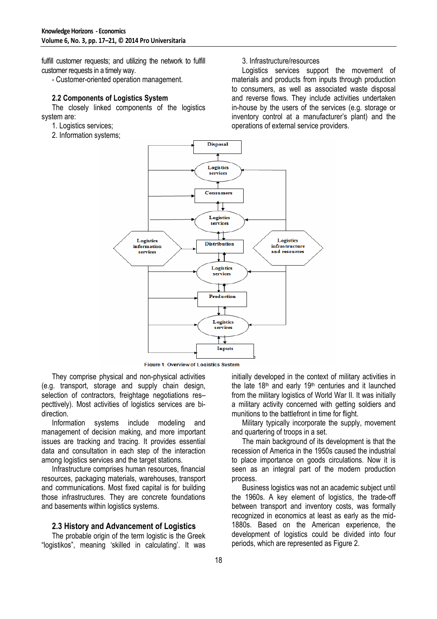fulfill customer requests; and utilizing the network to fulfill customer requests in a timely way.

- Customer-oriented operation management.

#### **2.2 Components of Logistics System**

The closely linked components of the logistics system are:

- 1. Logistics services;
- 2. Information systems;

#### 3. Infrastructure/resources

Logistics services support the movement of materials and products from inputs through production to consumers, as well as associated waste disposal and reverse flows. They include activities undertaken in-house by the users of the services (e.g. storage or inventory control at a manufacturer's plant) and the operations of external service providers.



Figure 1. Overview of Logistics System

They comprise physical and non-physical activities (e.g. transport, storage and supply chain design, selection of contractors, freightage negotiations respecttively). Most activities of logistics services are bidirection.

Information systems include modeling and management of decision making, and more important issues are tracking and tracing. It provides essential data and consultation in each step of the interaction among logistics services and the target stations.

Infrastructure comprises human resources, financial resources, packaging materials, warehouses, transport and communications. Most fixed capital is for building those infrastructures. They are concrete foundations and basements within logistics systems.

#### **2.3 History and Advancement of Logistics**

The probable origin of the term logistic is the Greek "logistikos", meaning 'skilled in calculating'. It was initially developed in the context of military activities in the late  $18<sup>th</sup>$  and early  $19<sup>th</sup>$  centuries and it launched from the military logistics of World War II. It was initially a military activity concerned with getting soldiers and munitions to the battlefront in time for flight.

Military typically incorporate the supply, movement and quartering of troops in a set.

The main background of its development is that the recession of America in the 1950s caused the industrial to place importance on goods circulations. Now it is seen as an integral part of the modern production process.

Business logistics was not an academic subject until the 1960s. A key element of logistics, the trade-off between transport and inventory costs, was formally recognized in economics at least as early as the mid-1880s. Based on the American experience, the development of logistics could be divided into four periods, which are represented as Figure 2.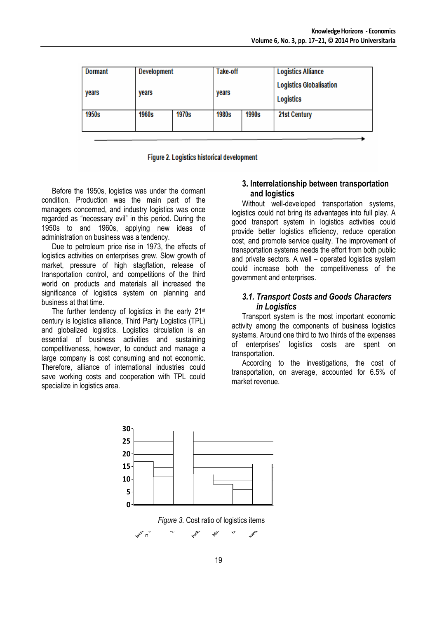| <b>Dormant</b> |       | <b>Development</b> |       | Take-off | <b>Logistics Alliance</b>                          |
|----------------|-------|--------------------|-------|----------|----------------------------------------------------|
| years          | years |                    |       |          | <b>Logistics Globalisation</b><br><b>Logistics</b> |
| 1950s          | 1960s | 1970s              | 1980s | 1990s    | 21st Century                                       |
|                |       |                    |       |          |                                                    |

Figure 2. Logistics historical development

Before the 1950s, logistics was under the dormant condition. Production was the main part of the managers concerned, and industry logistics was once regarded as "necessary evil" in this period. During the 1950s to and 1960s, applying new ideas of administration on business was a tendency.

Due to petroleum price rise in 1973, the effects of logistics activities on enterprises grew. Slow growth of market, pressure of high stagflation, release of transportation control, and competitions of the third world on products and materials all increased the significance of logistics system on planning and business at that time.

The further tendency of logistics in the early 21<sup>st</sup> century is logistics alliance, Third Party Logistics (TPL) and globalized logistics. Logistics circulation is an essential of business activities and sustaining competitiveness, however, to conduct and manage a large company is cost consuming and not economic. Therefore, alliance of international industries could save working costs and cooperation with TPL could specialize in logistics area.

**Inventory**

### **3. Interrelationship between transportation and logistics**

Without well-developed transportation systems, logistics could not bring its advantages into full play. A good transport system in logistics activities could provide better logistics efficiency, reduce operation cost, and promote service quality. The improvement of transportation systems needs the effort from both public and private sectors. A well – operated logistics system could increase both the competitiveness of the government and enterprises.

### *3.1. Transport Costs and Goods Characters in Logistics*

Transport system is the most important economic activity among the components of business logistics systems. Around one third to two thirds of the expenses of enterprises' logistics costs are spent on transportation.

According to the investigations, the cost of transportation, on average, accounted for 6.5% of market revenue.



**Management** 3. Cost ratio of logistics items *Move* Pack-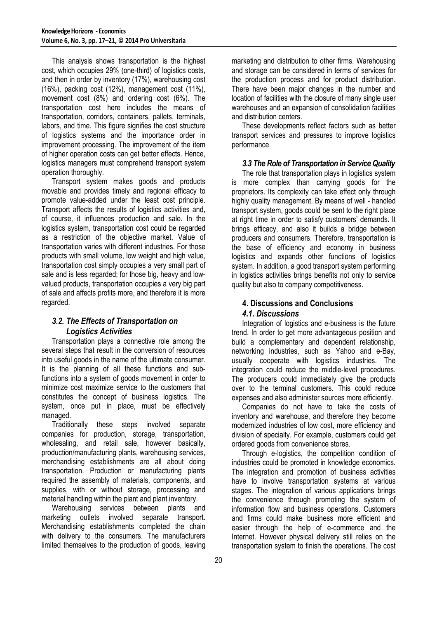This analysis shows transportation is the highest cost, which occupies 29% (one-third) of logistics costs, and then in order by inventory (17%), warehousing cost (16%), packing cost (12%), management cost (11%), movement cost (8%) and ordering cost (6%). The transportation cost here includes the means of transportation, corridors, containers, pallets, terminals, labors, and time. This figure signifies the cost structure of logistics systems and the importance order in improvement processing. The improvement of the item of higher operation costs can get better effects. Hence, logistics managers must comprehend transport system operation thoroughly.

Transport system makes goods and products movable and provides timely and regional efficacy to promote value-added under the least cost principle. Transport affects the results of logistics activities and, of course, it influences production and sale. In the logistics system, transportation cost could be regarded as a restriction of the objective market. Value of transportation varies with different industries. For those products with small volume, low weight and high value, transportation cost simply occupies a very small part of sale and is less regarded; for those big, heavy and lowvalued products, transportation occupies a very big part of sale and affects profits more, and therefore it is more regarded.

### *3.2. The Effects of Transportation on Logistics Activities*

Transportation plays a connective role among the several steps that result in the conversion of resources into useful goods in the name of the ultimate consumer. It is the planning of all these functions and subfunctions into a system of goods movement in order to minimize cost maximize service to the customers that constitutes the concept of business logistics. The system, once put in place, must be effectively managed.

Traditionally these steps involved separate companies for production, storage, transportation, wholesaling, and retail sale, however basically, production/manufacturing plants, warehousing services, merchandising establishments are all about doing transportation. Production or manufacturing plants required the assembly of materials, components, and supplies, with or without storage, processing and material handling within the plant and plant inventory.

Warehousing services between plants and marketing outlets involved separate transport. Merchandising establishments completed the chain with delivery to the consumers. The manufacturers limited themselves to the production of goods, leaving marketing and distribution to other firms. Warehousing and storage can be considered in terms of services for the production process and for product distribution. There have been major changes in the number and location of facilities with the closure of many single user warehouses and an expansion of consolidation facilities and distribution centers.

These developments reflect factors such as better transport services and pressures to improve logistics performance.

### *3.3 The Role of Transportation in Service Quality*

The role that transportation plays in logistics system is more complex than carrying goods for the proprietors. Its complexity can take effect only through highly quality management. By means of well - handled transport system, goods could be sent to the right place at right time in order to satisfy customers' demands. It brings efficacy, and also it builds a bridge between producers and consumers. Therefore, transportation is the base of efficiency and economy in business logistics and expands other functions of logistics system. In addition, a good transport system performing in logistics activities brings benefits not only to service quality but also to company competitiveness.

## **4. Discussions and Conclusions**  *4.1. Discussions*

Integration of logistics and e-business is the future trend. In order to get more advantageous position and build a complementary and dependent relationship, networking industries, such as Yahoo and e-Bay, usually cooperate with logistics industries. The integration could reduce the middle-level procedures. The producers could immediately give the products over to the terminal customers. This could reduce expenses and also administer sources more efficiently.

Companies do not have to take the costs of inventory and warehouse, and therefore they become modernized industries of low cost, more efficiency and division of specialty. For example, customers could get ordered goods from convenience stores.

Through e-logistics, the competition condition of industries could be promoted in knowledge economics. The integration and promotion of business activities have to involve transportation systems at various stages. The integration of various applications brings the convenience through promoting the system of information flow and business operations. Customers and firms could make business more efficient and easier through the help of e-commerce and the Internet. However physical delivery still relies on the transportation system to finish the operations. The cost